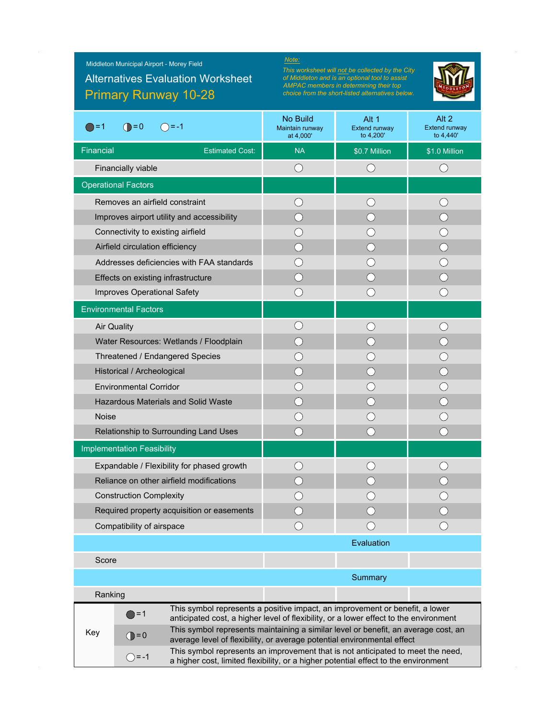# Primary Runway 10-28 Alternatives Evaluation Worksheet

*This worksheet will not be collected by the City of Middleton and is an optional tool to assist AMPAC members in determining their top choice from the short-listed alternatives below.*



| ≔1                                                                                                                                                                                      | $\bigcirc$ = 0<br>$( ) = -1$                                                                                                                                           | No Build<br>Maintain runway<br>at 4,000'                                                                                                                      | Alt 1<br>Extend runway<br>to 4,200' | Alt 2<br><b>Extend runway</b><br>to 4,440' |  |  |  |  |
|-----------------------------------------------------------------------------------------------------------------------------------------------------------------------------------------|------------------------------------------------------------------------------------------------------------------------------------------------------------------------|---------------------------------------------------------------------------------------------------------------------------------------------------------------|-------------------------------------|--------------------------------------------|--|--|--|--|
| Financial                                                                                                                                                                               | <b>Estimated Cost:</b>                                                                                                                                                 | <b>NA</b>                                                                                                                                                     | \$0.7 Million                       | \$1.0 Million                              |  |  |  |  |
|                                                                                                                                                                                         | Financially viable                                                                                                                                                     | ( )                                                                                                                                                           | $\bigcirc$                          | ( )                                        |  |  |  |  |
| <b>Operational Factors</b>                                                                                                                                                              |                                                                                                                                                                        |                                                                                                                                                               |                                     |                                            |  |  |  |  |
|                                                                                                                                                                                         | Removes an airfield constraint                                                                                                                                         | $( \ )$                                                                                                                                                       | 0                                   |                                            |  |  |  |  |
|                                                                                                                                                                                         | Improves airport utility and accessibility                                                                                                                             | C)                                                                                                                                                            |                                     |                                            |  |  |  |  |
|                                                                                                                                                                                         | Connectivity to existing airfield                                                                                                                                      |                                                                                                                                                               |                                     |                                            |  |  |  |  |
|                                                                                                                                                                                         | Airfield circulation efficiency                                                                                                                                        |                                                                                                                                                               |                                     |                                            |  |  |  |  |
| Addresses deficiencies with FAA standards                                                                                                                                               |                                                                                                                                                                        |                                                                                                                                                               |                                     |                                            |  |  |  |  |
| Effects on existing infrastructure                                                                                                                                                      |                                                                                                                                                                        | $\left(\begin{array}{c} \end{array}\right)$                                                                                                                   |                                     |                                            |  |  |  |  |
| Improves Operational Safety                                                                                                                                                             |                                                                                                                                                                        | $( \ )$                                                                                                                                                       | ()                                  |                                            |  |  |  |  |
| <b>Environmental Factors</b>                                                                                                                                                            |                                                                                                                                                                        |                                                                                                                                                               |                                     |                                            |  |  |  |  |
|                                                                                                                                                                                         | <b>Air Quality</b>                                                                                                                                                     |                                                                                                                                                               |                                     |                                            |  |  |  |  |
| Water Resources: Wetlands / Floodplain                                                                                                                                                  |                                                                                                                                                                        |                                                                                                                                                               |                                     |                                            |  |  |  |  |
| Threatened / Endangered Species                                                                                                                                                         |                                                                                                                                                                        |                                                                                                                                                               |                                     |                                            |  |  |  |  |
| Historical / Archeological                                                                                                                                                              |                                                                                                                                                                        |                                                                                                                                                               |                                     |                                            |  |  |  |  |
|                                                                                                                                                                                         | <b>Environmental Corridor</b>                                                                                                                                          |                                                                                                                                                               |                                     |                                            |  |  |  |  |
|                                                                                                                                                                                         | <b>Hazardous Materials and Solid Waste</b>                                                                                                                             |                                                                                                                                                               |                                     |                                            |  |  |  |  |
| <b>Noise</b>                                                                                                                                                                            |                                                                                                                                                                        |                                                                                                                                                               |                                     |                                            |  |  |  |  |
|                                                                                                                                                                                         | Relationship to Surrounding Land Uses                                                                                                                                  |                                                                                                                                                               |                                     |                                            |  |  |  |  |
|                                                                                                                                                                                         | <b>Implementation Feasibility</b>                                                                                                                                      |                                                                                                                                                               |                                     |                                            |  |  |  |  |
|                                                                                                                                                                                         | Expandable / Flexibility for phased growth                                                                                                                             |                                                                                                                                                               |                                     |                                            |  |  |  |  |
|                                                                                                                                                                                         | Reliance on other airfield modifications                                                                                                                               |                                                                                                                                                               |                                     |                                            |  |  |  |  |
|                                                                                                                                                                                         | <b>Construction Complexity</b>                                                                                                                                         |                                                                                                                                                               |                                     |                                            |  |  |  |  |
|                                                                                                                                                                                         | Required property acquisition or easements                                                                                                                             |                                                                                                                                                               |                                     |                                            |  |  |  |  |
| Compatibility of airspace                                                                                                                                                               |                                                                                                                                                                        | ()                                                                                                                                                            | ()                                  |                                            |  |  |  |  |
|                                                                                                                                                                                         |                                                                                                                                                                        |                                                                                                                                                               | Evaluation                          |                                            |  |  |  |  |
| Score                                                                                                                                                                                   |                                                                                                                                                                        |                                                                                                                                                               |                                     |                                            |  |  |  |  |
|                                                                                                                                                                                         |                                                                                                                                                                        |                                                                                                                                                               | Summary                             |                                            |  |  |  |  |
| Ranking                                                                                                                                                                                 |                                                                                                                                                                        |                                                                                                                                                               |                                     |                                            |  |  |  |  |
| This symbol represents a positive impact, an improvement or benefit, a lower<br>$\bigcirc$ = 1<br>anticipated cost, a higher level of flexibility, or a lower effect to the environment |                                                                                                                                                                        |                                                                                                                                                               |                                     |                                            |  |  |  |  |
| Key                                                                                                                                                                                     | $\bigoplus$ =0                                                                                                                                                         | This symbol represents maintaining a similar level or benefit, an average cost, an<br>average level of flexibility, or average potential environmental effect |                                     |                                            |  |  |  |  |
|                                                                                                                                                                                         | This symbol represents an improvement that is not anticipated to meet the need,<br>a higher cost, limited flexibility, or a higher potential effect to the environment |                                                                                                                                                               |                                     |                                            |  |  |  |  |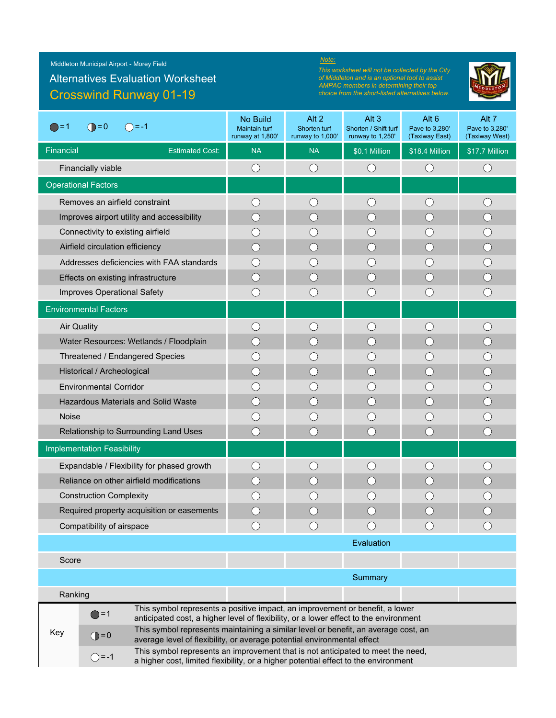Middleton Municipal Airport - Morey Field

## Crosswind Runway 01-19 Alternatives Evaluation Worksheet

#### *Note:*

*This worksheet will not be collected by the City of Middleton and is an optional tool to assist AMPAC members in determining their top choice from the short-listed alternatives below.*



| $\bigcirc$ = 0<br>$\bigcirc$ = 1<br>$() = -1$                                                                                                                                             | No Build<br>Maintain turf<br>runway at 1,800'                                                                                                                         | Alt 2<br>Shorten turf<br>runway to 1,000'     | Alt <sub>3</sub><br>Shorten / Shift turf<br>runway to 1,250' | Alt <sub>6</sub><br>Pave to 3,280'<br>(Taxiway East) | Alt 7<br>Pave to 3,280'<br>(Taxiway West)   |  |  |
|-------------------------------------------------------------------------------------------------------------------------------------------------------------------------------------------|-----------------------------------------------------------------------------------------------------------------------------------------------------------------------|-----------------------------------------------|--------------------------------------------------------------|------------------------------------------------------|---------------------------------------------|--|--|
| Financial<br><b>Estimated Cost:</b>                                                                                                                                                       | <b>NA</b>                                                                                                                                                             | <b>NA</b>                                     | \$0.1 Million                                                | \$18.4 Million                                       | \$17.7 Million                              |  |  |
| Financially viable                                                                                                                                                                        | $\bigcirc$                                                                                                                                                            | $\bigcirc$                                    | $\bigcirc$                                                   | $\bigcirc$                                           | $\bigcirc$                                  |  |  |
| <b>Operational Factors</b>                                                                                                                                                                |                                                                                                                                                                       |                                               |                                                              |                                                      |                                             |  |  |
| Removes an airfield constraint                                                                                                                                                            | $( \ )$                                                                                                                                                               | ()                                            | $\left(\right)$                                              | $($ )                                                | $($ $)$                                     |  |  |
| Improves airport utility and accessibility                                                                                                                                                |                                                                                                                                                                       |                                               | $\left(\right)$                                              |                                                      |                                             |  |  |
| Connectivity to existing airfield                                                                                                                                                         | $\left( \quad \right)$                                                                                                                                                | $\left( \begin{array}{c} \end{array} \right)$ | ( )                                                          |                                                      | $(\ )$                                      |  |  |
| Airfield circulation efficiency                                                                                                                                                           | ( )                                                                                                                                                                   | $(\ )$                                        | $\bigcirc$                                                   | $( \ )$                                              | $\bigcirc$                                  |  |  |
| Addresses deficiencies with FAA standards                                                                                                                                                 |                                                                                                                                                                       | $\Box$                                        | ( )                                                          |                                                      | ( )                                         |  |  |
| Effects on existing infrastructure                                                                                                                                                        |                                                                                                                                                                       | ()                                            | $\bigcirc$                                                   | ()                                                   | ( )                                         |  |  |
| Improves Operational Safety                                                                                                                                                               | ()                                                                                                                                                                    | O                                             | O                                                            | O                                                    | O                                           |  |  |
| <b>Environmental Factors</b>                                                                                                                                                              |                                                                                                                                                                       |                                               |                                                              |                                                      |                                             |  |  |
| <b>Air Quality</b>                                                                                                                                                                        | ◯                                                                                                                                                                     | ()                                            | O                                                            | $\left(\begin{array}{c} \end{array}\right)$          | $\left(\begin{array}{c} \end{array}\right)$ |  |  |
| Water Resources: Wetlands / Floodplain                                                                                                                                                    | $( \ )$                                                                                                                                                               | ( )                                           | ◯                                                            | $($ )                                                | $\bigcirc$                                  |  |  |
| Threatened / Endangered Species                                                                                                                                                           | ()                                                                                                                                                                    |                                               | $\left(\cdot\right)$                                         |                                                      |                                             |  |  |
| Historical / Archeological                                                                                                                                                                | $\bigcirc$                                                                                                                                                            | ( )                                           | $\left(\begin{array}{c} \end{array}\right)$                  | $($ )                                                | $\bigcirc$                                  |  |  |
| <b>Environmental Corridor</b>                                                                                                                                                             |                                                                                                                                                                       |                                               | $\left(\cdot\right)$                                         |                                                      | ( )                                         |  |  |
| <b>Hazardous Materials and Solid Waste</b>                                                                                                                                                | ( )                                                                                                                                                                   | $(\ )$                                        | $\left(\begin{array}{c} \end{array}\right)$                  |                                                      | О                                           |  |  |
| <b>Noise</b>                                                                                                                                                                              | $\left(\begin{array}{c} \end{array}\right)$                                                                                                                           | ()                                            | $\left(\begin{array}{c} \end{array}\right)$                  |                                                      |                                             |  |  |
| Relationship to Surrounding Land Uses                                                                                                                                                     | $\bigcirc$                                                                                                                                                            | ◯                                             | $\left(\begin{array}{c} \end{array}\right)$                  | ◯                                                    | $\bigcirc$                                  |  |  |
| <b>Implementation Feasibility</b>                                                                                                                                                         |                                                                                                                                                                       |                                               |                                                              |                                                      |                                             |  |  |
| Expandable / Flexibility for phased growth                                                                                                                                                | $( \ )$                                                                                                                                                               | ( )                                           | $\left(\cdot\right)$                                         | ( )                                                  |                                             |  |  |
| Reliance on other airfield modifications                                                                                                                                                  | ()                                                                                                                                                                    | $\left( \begin{array}{c} \end{array} \right)$ | $(\ )$                                                       | ()                                                   |                                             |  |  |
| <b>Construction Complexity</b>                                                                                                                                                            |                                                                                                                                                                       |                                               |                                                              |                                                      |                                             |  |  |
| Required property acquisition or easements                                                                                                                                                |                                                                                                                                                                       |                                               |                                                              |                                                      |                                             |  |  |
| Compatibility of airspace                                                                                                                                                                 |                                                                                                                                                                       |                                               | $\bigcirc$                                                   | $($ )                                                |                                             |  |  |
|                                                                                                                                                                                           | Evaluation                                                                                                                                                            |                                               |                                                              |                                                      |                                             |  |  |
| Score                                                                                                                                                                                     |                                                                                                                                                                       |                                               |                                                              |                                                      |                                             |  |  |
|                                                                                                                                                                                           | Summary                                                                                                                                                               |                                               |                                                              |                                                      |                                             |  |  |
| Ranking                                                                                                                                                                                   |                                                                                                                                                                       |                                               |                                                              |                                                      |                                             |  |  |
| $\bigcirc$ =1                                                                                                                                                                             | This symbol represents a positive impact, an improvement or benefit, a lower<br>anticipated cost, a higher level of flexibility, or a lower effect to the environment |                                               |                                                              |                                                      |                                             |  |  |
| Key<br>$\bigcirc$ = 0                                                                                                                                                                     | This symbol represents maintaining a similar level or benefit, an average cost, an<br>average level of flexibility, or average potential environmental effect         |                                               |                                                              |                                                      |                                             |  |  |
| This symbol represents an improvement that is not anticipated to meet the need,<br>$\bigcirc$ = -1<br>a higher cost, limited flexibility, or a higher potential effect to the environment |                                                                                                                                                                       |                                               |                                                              |                                                      |                                             |  |  |